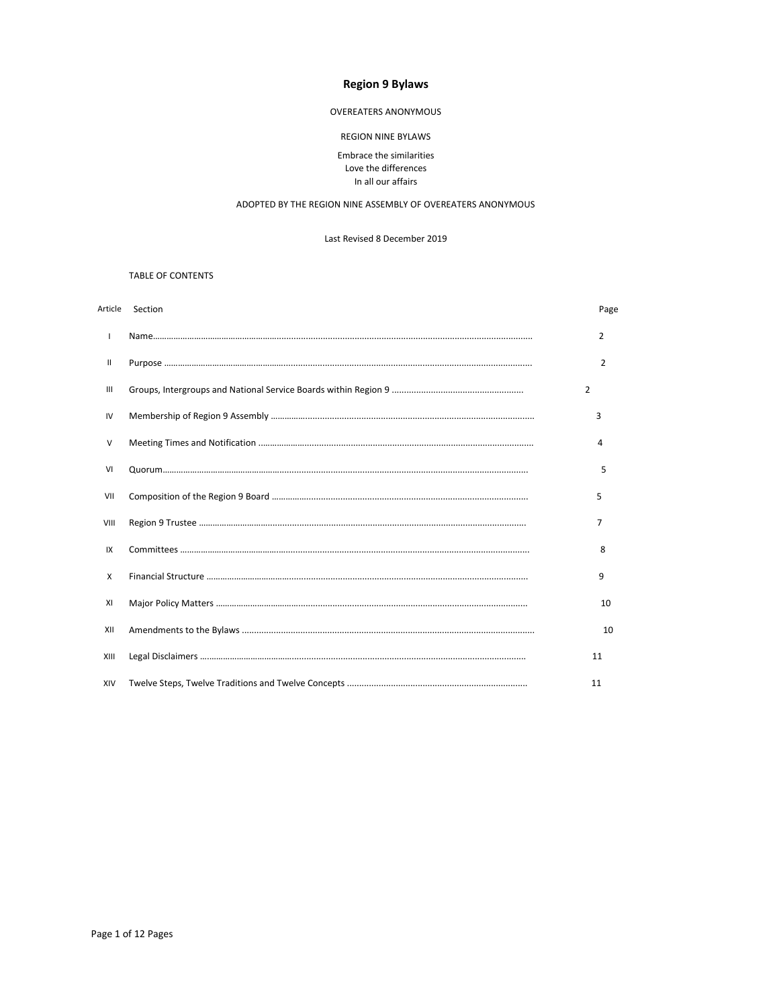## **Region 9 Bylaws**

### OVEREATERS ANONYMOUS

### **REGION NINE BYLAWS**

### Embrace the similarities Love the differences In all our affairs

#### ADOPTED BY THE REGION NINE ASSEMBLY OF OVEREATERS ANONYMOUS

Last Revised 8 December 2019

### TABLE OF CONTENTS

|                | Article Section | Page |
|----------------|-----------------|------|
| $\mathsf{I}$   |                 | 2    |
| Ш              |                 | 2    |
| $\mathbf{III}$ | $\overline{2}$  |      |
| IV             |                 | 3    |
| V              |                 | 4    |
| VI             |                 | 5    |
| VII            |                 | 5    |
| VIII           |                 | 7    |
| IX             |                 | 8    |
| X              |                 | 9    |
| XI             |                 | 10   |
| XII            |                 | 10   |
| XIII           |                 | 11   |
| XIV            |                 | 11   |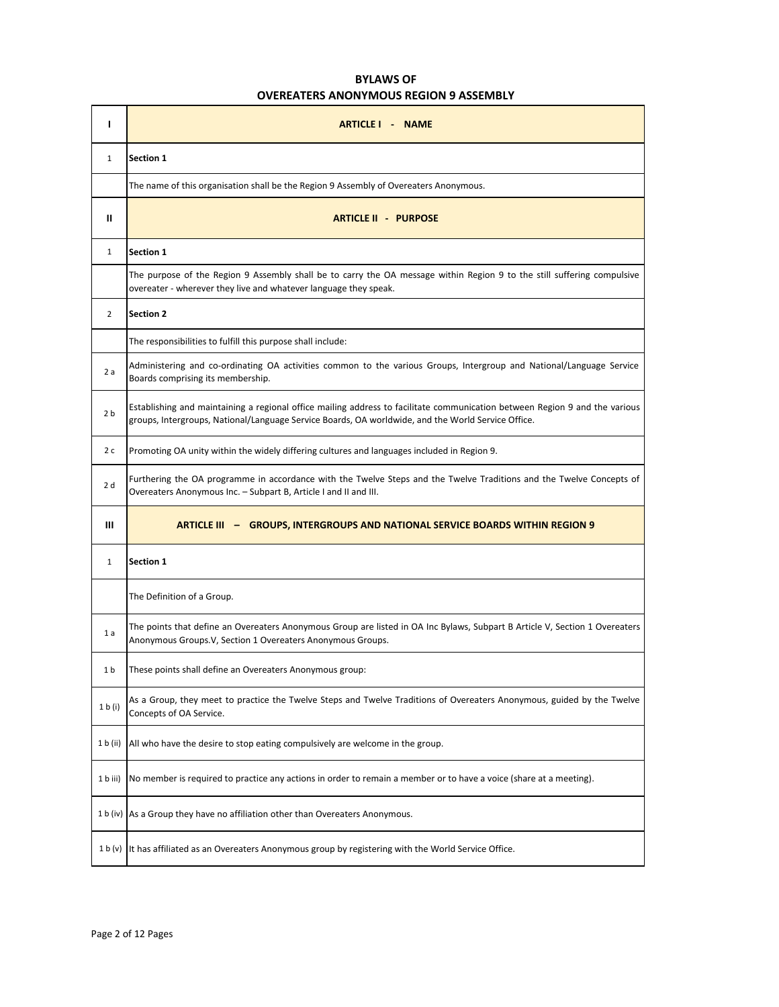# **BYLAWS OF OVEREATERS ANONYMOUS REGION 9 ASSEMBLY**

| ı              | ARTICLE I - NAME                                                                                                                                                                                                                  |
|----------------|-----------------------------------------------------------------------------------------------------------------------------------------------------------------------------------------------------------------------------------|
| $\mathbf{1}$   | Section 1                                                                                                                                                                                                                         |
|                | The name of this organisation shall be the Region 9 Assembly of Overeaters Anonymous.                                                                                                                                             |
| Ш              | <b>ARTICLE II - PURPOSE</b>                                                                                                                                                                                                       |
| $\mathbf{1}$   | Section 1                                                                                                                                                                                                                         |
|                | The purpose of the Region 9 Assembly shall be to carry the OA message within Region 9 to the still suffering compulsive<br>overeater - wherever they live and whatever language they speak.                                       |
| $\overline{2}$ | <b>Section 2</b>                                                                                                                                                                                                                  |
|                | The responsibilities to fulfill this purpose shall include:                                                                                                                                                                       |
| 2a             | Administering and co-ordinating OA activities common to the various Groups, Intergroup and National/Language Service<br>Boards comprising its membership.                                                                         |
| 2 <sub>b</sub> | Establishing and maintaining a regional office mailing address to facilitate communication between Region 9 and the various<br>groups, Intergroups, National/Language Service Boards, OA worldwide, and the World Service Office. |
| 2 c            | Promoting OA unity within the widely differing cultures and languages included in Region 9.                                                                                                                                       |
| 2 d            | Furthering the OA programme in accordance with the Twelve Steps and the Twelve Traditions and the Twelve Concepts of<br>Overeaters Anonymous Inc. - Subpart B, Article I and II and III.                                          |
| Ш              | <b>ARTICLE III - GROUPS, INTERGROUPS AND NATIONAL SERVICE BOARDS WITHIN REGION 9</b>                                                                                                                                              |
| $\mathbf{1}$   | <b>Section 1</b>                                                                                                                                                                                                                  |
|                | The Definition of a Group.                                                                                                                                                                                                        |
| 1a             | The points that define an Overeaters Anonymous Group are listed in OA Inc Bylaws, Subpart B Article V, Section 1 Overeaters<br>Anonymous Groups.V, Section 1 Overeaters Anonymous Groups.                                         |
| 1b             | These points shall define an Overeaters Anonymous group:                                                                                                                                                                          |
| 1 b (i)        | As a Group, they meet to practice the Twelve Steps and Twelve Traditions of Overeaters Anonymous, guided by the Twelve<br>Concepts of OA Service.                                                                                 |
| 1 b (ii)       | All who have the desire to stop eating compulsively are welcome in the group.                                                                                                                                                     |
| 1 b iii)       | No member is required to practice any actions in order to remain a member or to have a voice (share at a meeting).                                                                                                                |
|                | 1 b (iv) As a Group they have no affiliation other than Overeaters Anonymous.                                                                                                                                                     |
| 1 b (v)        | It has affiliated as an Overeaters Anonymous group by registering with the World Service Office.                                                                                                                                  |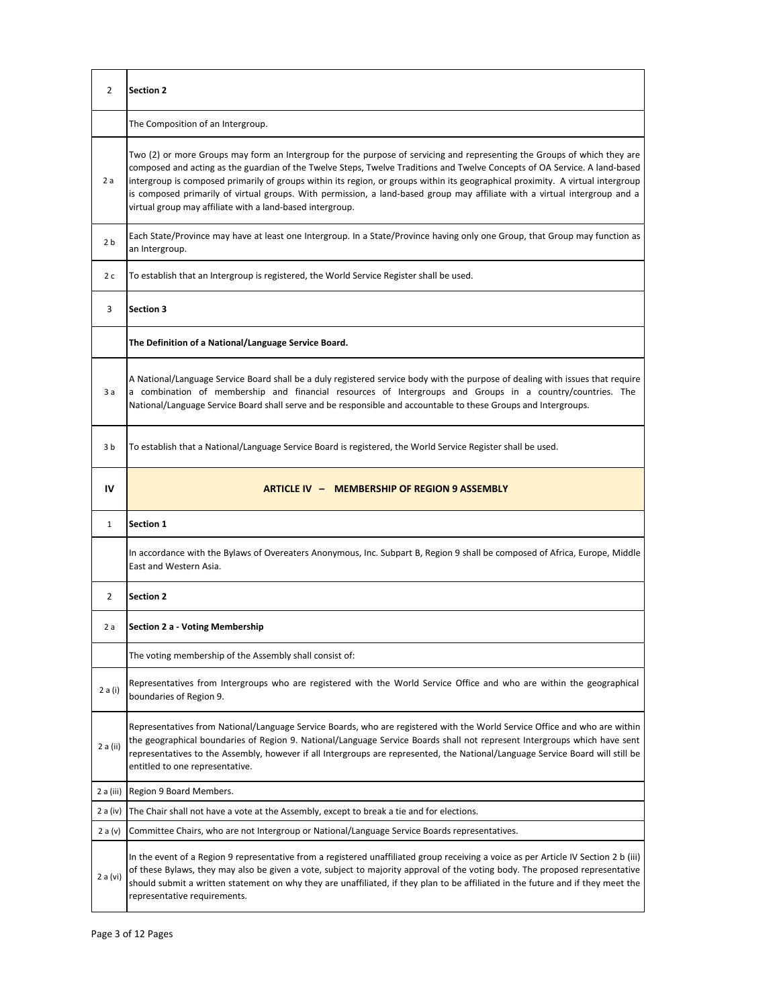| 2              | <b>Section 2</b>                                                                                                                                                                                                                                                                                                                                                                                                                                                                                                                                                                     |
|----------------|--------------------------------------------------------------------------------------------------------------------------------------------------------------------------------------------------------------------------------------------------------------------------------------------------------------------------------------------------------------------------------------------------------------------------------------------------------------------------------------------------------------------------------------------------------------------------------------|
|                | The Composition of an Intergroup.                                                                                                                                                                                                                                                                                                                                                                                                                                                                                                                                                    |
| 2a             | Two (2) or more Groups may form an Intergroup for the purpose of servicing and representing the Groups of which they are<br>composed and acting as the guardian of the Twelve Steps, Twelve Traditions and Twelve Concepts of OA Service. A land-based<br>intergroup is composed primarily of groups within its region, or groups within its geographical proximity. A virtual intergroup<br>is composed primarily of virtual groups. With permission, a land-based group may affiliate with a virtual intergroup and a<br>virtual group may affiliate with a land-based intergroup. |
| 2 <sub>b</sub> | Each State/Province may have at least one Intergroup. In a State/Province having only one Group, that Group may function as<br>an Intergroup.                                                                                                                                                                                                                                                                                                                                                                                                                                        |
| 2 c            | To establish that an Intergroup is registered, the World Service Register shall be used.                                                                                                                                                                                                                                                                                                                                                                                                                                                                                             |
| 3              | <b>Section 3</b>                                                                                                                                                                                                                                                                                                                                                                                                                                                                                                                                                                     |
|                | The Definition of a National/Language Service Board.                                                                                                                                                                                                                                                                                                                                                                                                                                                                                                                                 |
| 3a             | A National/Language Service Board shall be a duly registered service body with the purpose of dealing with issues that require<br>a combination of membership and financial resources of Intergroups and Groups in a country/countries. The<br>National/Language Service Board shall serve and be responsible and accountable to these Groups and Intergroups.                                                                                                                                                                                                                       |
| 3b             | To establish that a National/Language Service Board is registered, the World Service Register shall be used.                                                                                                                                                                                                                                                                                                                                                                                                                                                                         |
| IV             | ARTICLE IV - MEMBERSHIP OF REGION 9 ASSEMBLY                                                                                                                                                                                                                                                                                                                                                                                                                                                                                                                                         |
| $\mathbf{1}$   | <b>Section 1</b>                                                                                                                                                                                                                                                                                                                                                                                                                                                                                                                                                                     |
|                | In accordance with the Bylaws of Overeaters Anonymous, Inc. Subpart B, Region 9 shall be composed of Africa, Europe, Middle<br>East and Western Asia.                                                                                                                                                                                                                                                                                                                                                                                                                                |
| 2              | <b>Section 2</b>                                                                                                                                                                                                                                                                                                                                                                                                                                                                                                                                                                     |
| 2 a            | Section 2 a - Voting Membership                                                                                                                                                                                                                                                                                                                                                                                                                                                                                                                                                      |
|                | The voting membership of the Assembly shall consist of:                                                                                                                                                                                                                                                                                                                                                                                                                                                                                                                              |
| 2 a (i)        | Representatives from Intergroups who are registered with the World Service Office and who are within the geographical                                                                                                                                                                                                                                                                                                                                                                                                                                                                |
|                | boundaries of Region 9.                                                                                                                                                                                                                                                                                                                                                                                                                                                                                                                                                              |
| 2 a (ii)       | Representatives from National/Language Service Boards, who are registered with the World Service Office and who are within<br>the geographical boundaries of Region 9. National/Language Service Boards shall not represent Intergroups which have sent<br>representatives to the Assembly, however if all Intergroups are represented, the National/Language Service Board will still be<br>entitled to one representative.                                                                                                                                                         |
| 2 a (iii)      | Region 9 Board Members.                                                                                                                                                                                                                                                                                                                                                                                                                                                                                                                                                              |
| 2 a (iv)       | The Chair shall not have a vote at the Assembly, except to break a tie and for elections.                                                                                                                                                                                                                                                                                                                                                                                                                                                                                            |
| 2a(v)          | Committee Chairs, who are not Intergroup or National/Language Service Boards representatives.                                                                                                                                                                                                                                                                                                                                                                                                                                                                                        |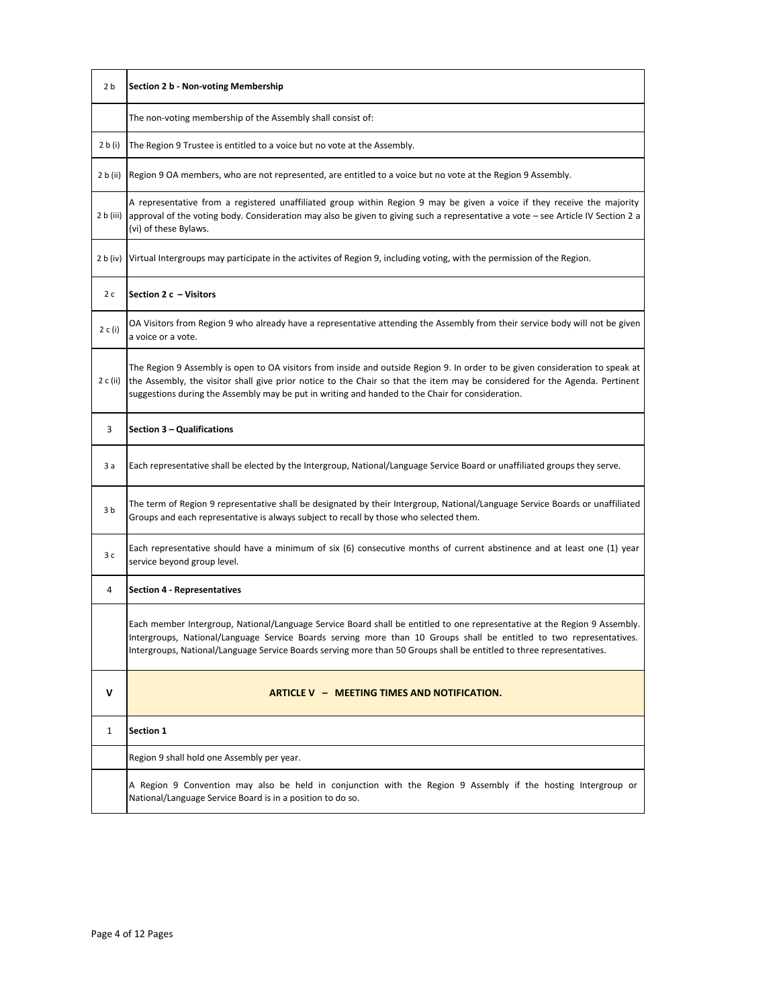| 2 b          | Section 2 b - Non-voting Membership                                                                                                                                                                                                                                                                                                                                       |
|--------------|---------------------------------------------------------------------------------------------------------------------------------------------------------------------------------------------------------------------------------------------------------------------------------------------------------------------------------------------------------------------------|
|              | The non-voting membership of the Assembly shall consist of:                                                                                                                                                                                                                                                                                                               |
| 2 b (i)      | The Region 9 Trustee is entitled to a voice but no vote at the Assembly.                                                                                                                                                                                                                                                                                                  |
| 2 b (ii)     | Region 9 OA members, who are not represented, are entitled to a voice but no vote at the Region 9 Assembly.                                                                                                                                                                                                                                                               |
| 2 b (iii)    | A representative from a registered unaffiliated group within Region 9 may be given a voice if they receive the majority<br>approval of the voting body. Consideration may also be given to giving such a representative a vote – see Article IV Section 2 a<br>(vi) of these Bylaws.                                                                                      |
| 2 b (iv)     | Virtual Intergroups may participate in the activites of Region 9, including voting, with the permission of the Region.                                                                                                                                                                                                                                                    |
| 2 c          | Section 2 c - Visitors                                                                                                                                                                                                                                                                                                                                                    |
| 2 c (i)      | OA Visitors from Region 9 who already have a representative attending the Assembly from their service body will not be given<br>a voice or a vote.                                                                                                                                                                                                                        |
| 2 c (ii)     | The Region 9 Assembly is open to OA visitors from inside and outside Region 9. In order to be given consideration to speak at<br>the Assembly, the visitor shall give prior notice to the Chair so that the item may be considered for the Agenda. Pertinent<br>suggestions during the Assembly may be put in writing and handed to the Chair for consideration.          |
| 3            | Section 3 - Qualifications                                                                                                                                                                                                                                                                                                                                                |
| 3 a          | Each representative shall be elected by the Intergroup, National/Language Service Board or unaffiliated groups they serve.                                                                                                                                                                                                                                                |
| 3b           | The term of Region 9 representative shall be designated by their Intergroup, National/Language Service Boards or unaffiliated<br>Groups and each representative is always subject to recall by those who selected them.                                                                                                                                                   |
| 3c           | Each representative should have a minimum of six (6) consecutive months of current abstinence and at least one (1) year<br>service beyond group level.                                                                                                                                                                                                                    |
| 4            | <b>Section 4 - Representatives</b>                                                                                                                                                                                                                                                                                                                                        |
|              | Each member Intergroup, National/Language Service Board shall be entitled to one representative at the Region 9 Assembly.<br>Intergroups, National/Language Service Boards serving more than 10 Groups shall be entitled to two representatives.<br>Intergroups, National/Language Service Boards serving more than 50 Groups shall be entitled to three representatives. |
| $\mathsf{v}$ | ARTICLE V - MEETING TIMES AND NOTIFICATION.                                                                                                                                                                                                                                                                                                                               |
| 1            | <b>Section 1</b>                                                                                                                                                                                                                                                                                                                                                          |
|              | Region 9 shall hold one Assembly per year.                                                                                                                                                                                                                                                                                                                                |
|              | A Region 9 Convention may also be held in conjunction with the Region 9 Assembly if the hosting Intergroup or<br>National/Language Service Board is in a position to do so.                                                                                                                                                                                               |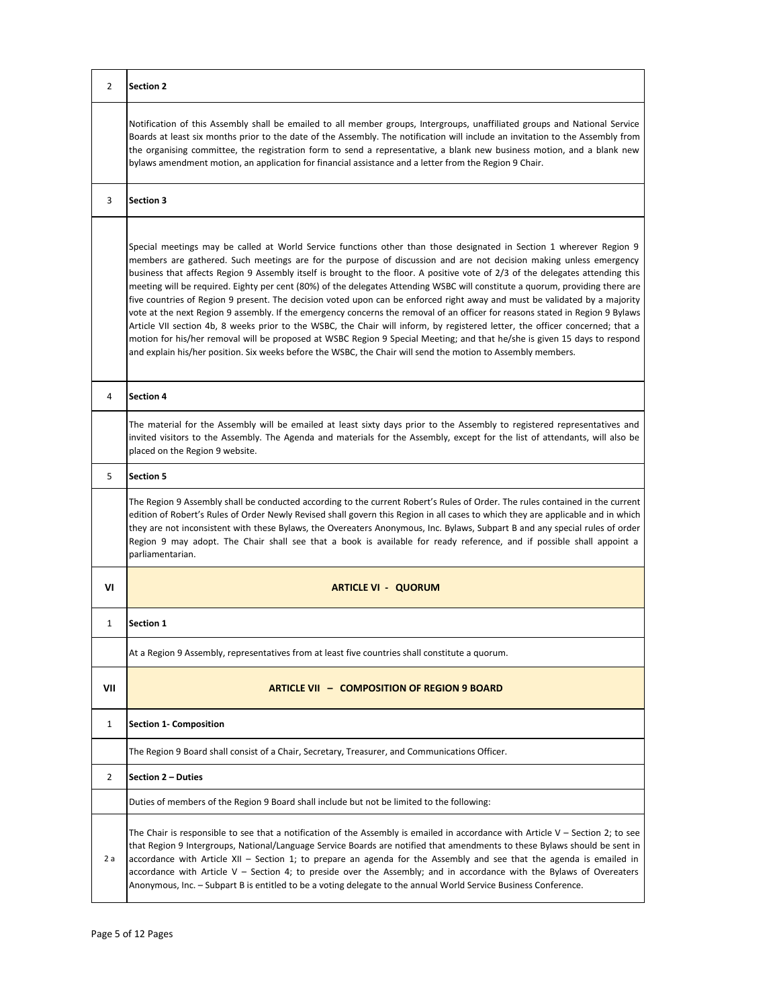| $\overline{2}$ | <b>Section 2</b>                                                                                                                                                                                                                                                                                                                                                                                                                                                                                                                                                                                                                                                                                                                                                                                                                                                                                                                                                                                                                                                                                                                                           |
|----------------|------------------------------------------------------------------------------------------------------------------------------------------------------------------------------------------------------------------------------------------------------------------------------------------------------------------------------------------------------------------------------------------------------------------------------------------------------------------------------------------------------------------------------------------------------------------------------------------------------------------------------------------------------------------------------------------------------------------------------------------------------------------------------------------------------------------------------------------------------------------------------------------------------------------------------------------------------------------------------------------------------------------------------------------------------------------------------------------------------------------------------------------------------------|
|                | Notification of this Assembly shall be emailed to all member groups, Intergroups, unaffiliated groups and National Service<br>Boards at least six months prior to the date of the Assembly. The notification will include an invitation to the Assembly from<br>the organising committee, the registration form to send a representative, a blank new business motion, and a blank new<br>bylaws amendment motion, an application for financial assistance and a letter from the Region 9 Chair.                                                                                                                                                                                                                                                                                                                                                                                                                                                                                                                                                                                                                                                           |
| 3              | <b>Section 3</b>                                                                                                                                                                                                                                                                                                                                                                                                                                                                                                                                                                                                                                                                                                                                                                                                                                                                                                                                                                                                                                                                                                                                           |
|                | Special meetings may be called at World Service functions other than those designated in Section 1 wherever Region 9<br>members are gathered. Such meetings are for the purpose of discussion and are not decision making unless emergency<br>business that affects Region 9 Assembly itself is brought to the floor. A positive vote of 2/3 of the delegates attending this<br>meeting will be required. Eighty per cent (80%) of the delegates Attending WSBC will constitute a quorum, providing there are<br>five countries of Region 9 present. The decision voted upon can be enforced right away and must be validated by a majority<br>vote at the next Region 9 assembly. If the emergency concerns the removal of an officer for reasons stated in Region 9 Bylaws<br>Article VII section 4b, 8 weeks prior to the WSBC, the Chair will inform, by registered letter, the officer concerned; that a<br>motion for his/her removal will be proposed at WSBC Region 9 Special Meeting; and that he/she is given 15 days to respond<br>and explain his/her position. Six weeks before the WSBC, the Chair will send the motion to Assembly members. |
| 4              | <b>Section 4</b>                                                                                                                                                                                                                                                                                                                                                                                                                                                                                                                                                                                                                                                                                                                                                                                                                                                                                                                                                                                                                                                                                                                                           |
|                | The material for the Assembly will be emailed at least sixty days prior to the Assembly to registered representatives and<br>invited visitors to the Assembly. The Agenda and materials for the Assembly, except for the list of attendants, will also be<br>placed on the Region 9 website.                                                                                                                                                                                                                                                                                                                                                                                                                                                                                                                                                                                                                                                                                                                                                                                                                                                               |
| 5              | <b>Section 5</b>                                                                                                                                                                                                                                                                                                                                                                                                                                                                                                                                                                                                                                                                                                                                                                                                                                                                                                                                                                                                                                                                                                                                           |
|                | The Region 9 Assembly shall be conducted according to the current Robert's Rules of Order. The rules contained in the current<br>edition of Robert's Rules of Order Newly Revised shall govern this Region in all cases to which they are applicable and in which<br>they are not inconsistent with these Bylaws, the Overeaters Anonymous, Inc. Bylaws, Subpart B and any special rules of order<br>Region 9 may adopt. The Chair shall see that a book is available for ready reference, and if possible shall appoint a<br>parliamentarian.                                                                                                                                                                                                                                                                                                                                                                                                                                                                                                                                                                                                             |
| VI             | <b>ARTICLE VI - QUORUM</b>                                                                                                                                                                                                                                                                                                                                                                                                                                                                                                                                                                                                                                                                                                                                                                                                                                                                                                                                                                                                                                                                                                                                 |
| 1              | <b>Section 1</b>                                                                                                                                                                                                                                                                                                                                                                                                                                                                                                                                                                                                                                                                                                                                                                                                                                                                                                                                                                                                                                                                                                                                           |
|                | At a Region 9 Assembly, representatives from at least five countries shall constitute a quorum.                                                                                                                                                                                                                                                                                                                                                                                                                                                                                                                                                                                                                                                                                                                                                                                                                                                                                                                                                                                                                                                            |
| VII            | <b>ARTICLE VII - COMPOSITION OF REGION 9 BOARD</b>                                                                                                                                                                                                                                                                                                                                                                                                                                                                                                                                                                                                                                                                                                                                                                                                                                                                                                                                                                                                                                                                                                         |
| 1              | <b>Section 1- Composition</b>                                                                                                                                                                                                                                                                                                                                                                                                                                                                                                                                                                                                                                                                                                                                                                                                                                                                                                                                                                                                                                                                                                                              |
|                | The Region 9 Board shall consist of a Chair, Secretary, Treasurer, and Communications Officer.                                                                                                                                                                                                                                                                                                                                                                                                                                                                                                                                                                                                                                                                                                                                                                                                                                                                                                                                                                                                                                                             |
| 2              | Section 2 - Duties                                                                                                                                                                                                                                                                                                                                                                                                                                                                                                                                                                                                                                                                                                                                                                                                                                                                                                                                                                                                                                                                                                                                         |
|                | Duties of members of the Region 9 Board shall include but not be limited to the following:                                                                                                                                                                                                                                                                                                                                                                                                                                                                                                                                                                                                                                                                                                                                                                                                                                                                                                                                                                                                                                                                 |
| 2 a            | The Chair is responsible to see that a notification of the Assembly is emailed in accordance with Article $V -$ Section 2; to see<br>that Region 9 Intergroups, National/Language Service Boards are notified that amendments to these Bylaws should be sent in<br>accordance with Article XII - Section 1; to prepare an agenda for the Assembly and see that the agenda is emailed in<br>accordance with Article $V -$ Section 4; to preside over the Assembly; and in accordance with the Bylaws of Overeaters<br>Anonymous, Inc. - Subpart B is entitled to be a voting delegate to the annual World Service Business Conference.                                                                                                                                                                                                                                                                                                                                                                                                                                                                                                                      |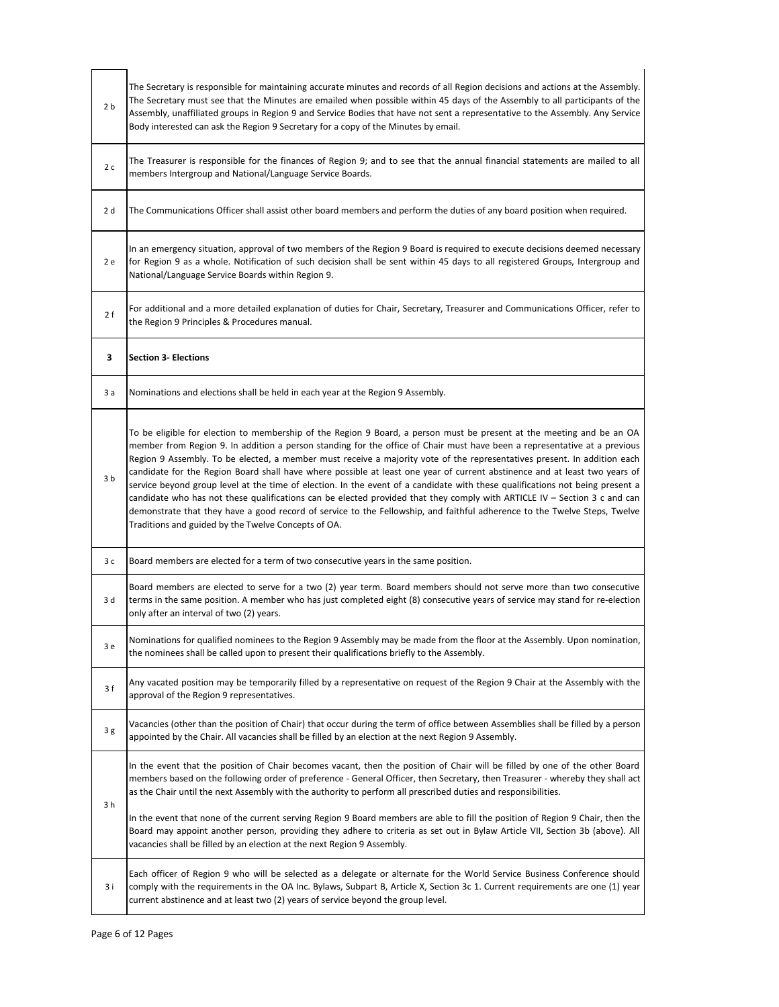| 2 <sub>b</sub> | The Secretary is responsible for maintaining accurate minutes and records of all Region decisions and actions at the Assembly.<br>The Secretary must see that the Minutes are emailed when possible within 45 days of the Assembly to all participants of the<br>Assembly, unaffiliated groups in Region 9 and Service Bodies that have not sent a representative to the Assembly. Any Service<br>Body interested can ask the Region 9 Secretary for a copy of the Minutes by email.                                                                                                                                                                                                                                                                                                                                                                                                                                                                           |
|----------------|----------------------------------------------------------------------------------------------------------------------------------------------------------------------------------------------------------------------------------------------------------------------------------------------------------------------------------------------------------------------------------------------------------------------------------------------------------------------------------------------------------------------------------------------------------------------------------------------------------------------------------------------------------------------------------------------------------------------------------------------------------------------------------------------------------------------------------------------------------------------------------------------------------------------------------------------------------------|
| 2c             | The Treasurer is responsible for the finances of Region 9; and to see that the annual financial statements are mailed to all<br>members Intergroup and National/Language Service Boards.                                                                                                                                                                                                                                                                                                                                                                                                                                                                                                                                                                                                                                                                                                                                                                       |
| 2 d            | The Communications Officer shall assist other board members and perform the duties of any board position when required.                                                                                                                                                                                                                                                                                                                                                                                                                                                                                                                                                                                                                                                                                                                                                                                                                                        |
| 2 e            | In an emergency situation, approval of two members of the Region 9 Board is required to execute decisions deemed necessary<br>for Region 9 as a whole. Notification of such decision shall be sent within 45 days to all registered Groups, Intergroup and<br>National/Language Service Boards within Region 9.                                                                                                                                                                                                                                                                                                                                                                                                                                                                                                                                                                                                                                                |
| 2f             | For additional and a more detailed explanation of duties for Chair, Secretary, Treasurer and Communications Officer, refer to<br>the Region 9 Principles & Procedures manual.                                                                                                                                                                                                                                                                                                                                                                                                                                                                                                                                                                                                                                                                                                                                                                                  |
| з              | <b>Section 3- Elections</b>                                                                                                                                                                                                                                                                                                                                                                                                                                                                                                                                                                                                                                                                                                                                                                                                                                                                                                                                    |
| 3 a            | Nominations and elections shall be held in each year at the Region 9 Assembly.                                                                                                                                                                                                                                                                                                                                                                                                                                                                                                                                                                                                                                                                                                                                                                                                                                                                                 |
| 3b             | To be eligible for election to membership of the Region 9 Board, a person must be present at the meeting and be an OA<br>member from Region 9. In addition a person standing for the office of Chair must have been a representative at a previous<br>Region 9 Assembly. To be elected, a member must receive a majority vote of the representatives present. In addition each<br>candidate for the Region Board shall have where possible at least one year of current abstinence and at least two years of<br>service beyond group level at the time of election. In the event of a candidate with these qualifications not being present a<br>candidate who has not these qualifications can be elected provided that they comply with ARTICLE IV - Section 3 c and can<br>demonstrate that they have a good record of service to the Fellowship, and faithful adherence to the Twelve Steps, Twelve<br>Traditions and guided by the Twelve Concepts of OA. |
| 3 c            | Board members are elected for a term of two consecutive years in the same position.                                                                                                                                                                                                                                                                                                                                                                                                                                                                                                                                                                                                                                                                                                                                                                                                                                                                            |
| 3 d            | Board members are elected to serve for a two (2) year term. Board members should not serve more than two consecutive<br>terms in the same position. A member who has just completed eight (8) consecutive years of service may stand for re-election<br>only after an interval of two (2) years.                                                                                                                                                                                                                                                                                                                                                                                                                                                                                                                                                                                                                                                               |
| 3 е            | Nominations for qualified nominees to the Region 9 Assembly may be made from the floor at the Assembly. Upon nomination,<br>the nominees shall be called upon to present their qualifications briefly to the Assembly.                                                                                                                                                                                                                                                                                                                                                                                                                                                                                                                                                                                                                                                                                                                                         |
| 3f             | Any vacated position may be temporarily filled by a representative on request of the Region 9 Chair at the Assembly with the<br>approval of the Region 9 representatives.                                                                                                                                                                                                                                                                                                                                                                                                                                                                                                                                                                                                                                                                                                                                                                                      |
| 3g             | Vacancies (other than the position of Chair) that occur during the term of office between Assemblies shall be filled by a person<br>appointed by the Chair. All vacancies shall be filled by an election at the next Region 9 Assembly.                                                                                                                                                                                                                                                                                                                                                                                                                                                                                                                                                                                                                                                                                                                        |
| 3 h            | In the event that the position of Chair becomes vacant, then the position of Chair will be filled by one of the other Board<br>members based on the following order of preference - General Officer, then Secretary, then Treasurer - whereby they shall act<br>as the Chair until the next Assembly with the authority to perform all prescribed duties and responsibilities.                                                                                                                                                                                                                                                                                                                                                                                                                                                                                                                                                                                 |
|                | In the event that none of the current serving Region 9 Board members are able to fill the position of Region 9 Chair, then the<br>Board may appoint another person, providing they adhere to criteria as set out in Bylaw Article VII, Section 3b (above). All<br>vacancies shall be filled by an election at the next Region 9 Assembly.                                                                                                                                                                                                                                                                                                                                                                                                                                                                                                                                                                                                                      |
| 3 i            | Each officer of Region 9 who will be selected as a delegate or alternate for the World Service Business Conference should<br>comply with the requirements in the OA Inc. Bylaws, Subpart B, Article X, Section 3c 1. Current requirements are one (1) year<br>current abstinence and at least two (2) years of service beyond the group level.                                                                                                                                                                                                                                                                                                                                                                                                                                                                                                                                                                                                                 |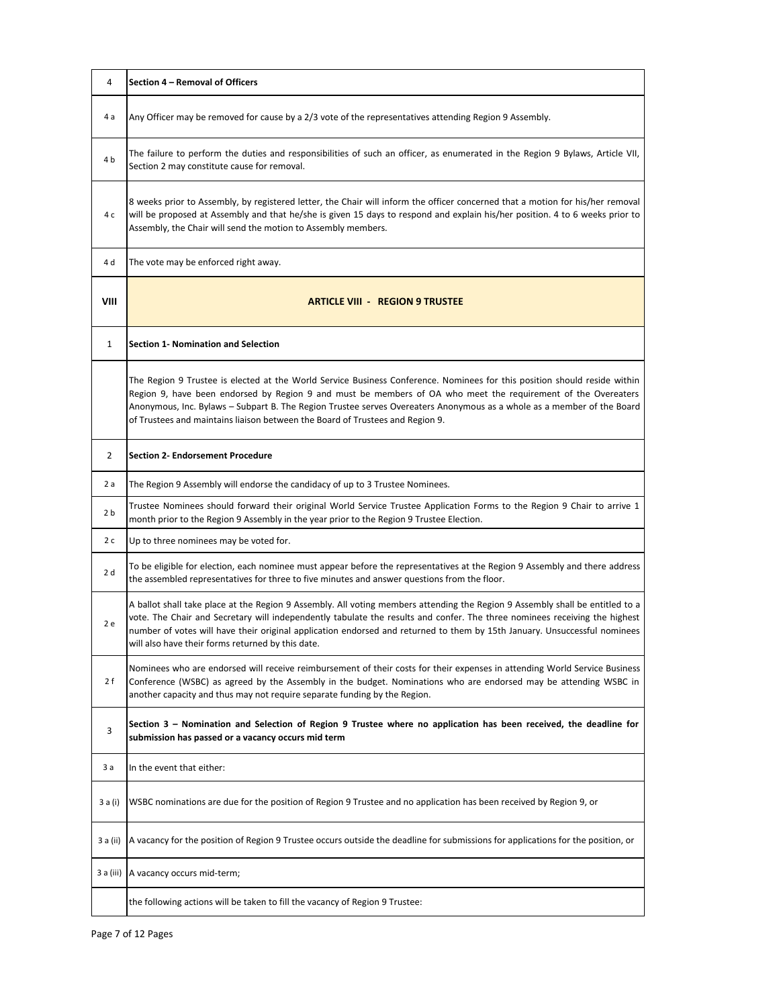| 4            | Section 4 - Removal of Officers                                                                                                                                                                                                                                                                                                                                                                                                                       |
|--------------|-------------------------------------------------------------------------------------------------------------------------------------------------------------------------------------------------------------------------------------------------------------------------------------------------------------------------------------------------------------------------------------------------------------------------------------------------------|
| 4 a          | Any Officer may be removed for cause by a 2/3 vote of the representatives attending Region 9 Assembly.                                                                                                                                                                                                                                                                                                                                                |
| 4 b          | The failure to perform the duties and responsibilities of such an officer, as enumerated in the Region 9 Bylaws, Article VII,<br>Section 2 may constitute cause for removal.                                                                                                                                                                                                                                                                          |
| 4 c          | 8 weeks prior to Assembly, by registered letter, the Chair will inform the officer concerned that a motion for his/her removal<br>will be proposed at Assembly and that he/she is given 15 days to respond and explain his/her position. 4 to 6 weeks prior to<br>Assembly, the Chair will send the motion to Assembly members.                                                                                                                       |
| 4 d          | The vote may be enforced right away.                                                                                                                                                                                                                                                                                                                                                                                                                  |
| VIII         | <b>ARTICLE VIII - REGION 9 TRUSTEE</b>                                                                                                                                                                                                                                                                                                                                                                                                                |
| $\mathbf{1}$ | Section 1- Nomination and Selection                                                                                                                                                                                                                                                                                                                                                                                                                   |
|              | The Region 9 Trustee is elected at the World Service Business Conference. Nominees for this position should reside within<br>Region 9, have been endorsed by Region 9 and must be members of OA who meet the requirement of the Overeaters<br>Anonymous, Inc. Bylaws – Subpart B. The Region Trustee serves Overeaters Anonymous as a whole as a member of the Board<br>of Trustees and maintains liaison between the Board of Trustees and Region 9. |
| 2            | <b>Section 2- Endorsement Procedure</b>                                                                                                                                                                                                                                                                                                                                                                                                               |
| 2 a          | The Region 9 Assembly will endorse the candidacy of up to 3 Trustee Nominees.                                                                                                                                                                                                                                                                                                                                                                         |
| 2 b          | Trustee Nominees should forward their original World Service Trustee Application Forms to the Region 9 Chair to arrive 1<br>month prior to the Region 9 Assembly in the year prior to the Region 9 Trustee Election.                                                                                                                                                                                                                                  |
| 2c           | Up to three nominees may be voted for.                                                                                                                                                                                                                                                                                                                                                                                                                |
| 2 d          | To be eligible for election, each nominee must appear before the representatives at the Region 9 Assembly and there address<br>the assembled representatives for three to five minutes and answer questions from the floor.                                                                                                                                                                                                                           |
| 2 e          | A ballot shall take place at the Region 9 Assembly. All voting members attending the Region 9 Assembly shall be entitled to a<br>vote. The Chair and Secretary will independently tabulate the results and confer. The three nominees receiving the highest<br>number of votes will have their original application endorsed and returned to them by 15th January. Unsuccessful nominees<br>will also have their forms returned by this date.         |
| 2 f          | Nominees who are endorsed will receive reimbursement of their costs for their expenses in attending World Service Business<br>Conference (WSBC) as agreed by the Assembly in the budget. Nominations who are endorsed may be attending WSBC in<br>another capacity and thus may not require separate funding by the Region.                                                                                                                           |
| 3            | Section 3 – Nomination and Selection of Region 9 Trustee where no application has been received, the deadline for<br>submission has passed or a vacancy occurs mid term                                                                                                                                                                                                                                                                               |
| 3 a          | In the event that either:                                                                                                                                                                                                                                                                                                                                                                                                                             |
| 3 a (i)      | WSBC nominations are due for the position of Region 9 Trustee and no application has been received by Region 9, or                                                                                                                                                                                                                                                                                                                                    |
| 3 a (ii)     | A vacancy for the position of Region 9 Trustee occurs outside the deadline for submissions for applications for the position, or                                                                                                                                                                                                                                                                                                                      |
| 3 a (iii)    | A vacancy occurs mid-term;                                                                                                                                                                                                                                                                                                                                                                                                                            |
|              | the following actions will be taken to fill the vacancy of Region 9 Trustee:                                                                                                                                                                                                                                                                                                                                                                          |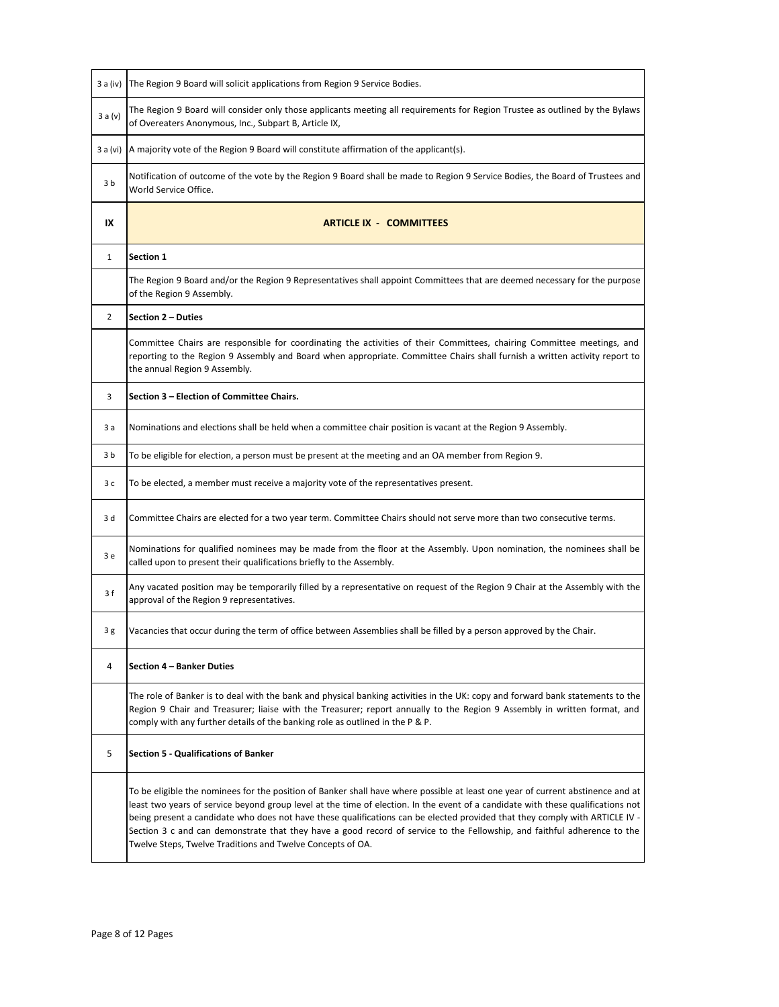| 3 a (iv)       | The Region 9 Board will solicit applications from Region 9 Service Bodies.                                                                                                                                                                                                                                                                                                                                                                                                                                                                                                                   |
|----------------|----------------------------------------------------------------------------------------------------------------------------------------------------------------------------------------------------------------------------------------------------------------------------------------------------------------------------------------------------------------------------------------------------------------------------------------------------------------------------------------------------------------------------------------------------------------------------------------------|
| 3 a (v)        | The Region 9 Board will consider only those applicants meeting all requirements for Region Trustee as outlined by the Bylaws<br>of Overeaters Anonymous, Inc., Subpart B, Article IX,                                                                                                                                                                                                                                                                                                                                                                                                        |
| 3 a (vi)       | A majority vote of the Region 9 Board will constitute affirmation of the applicant(s).                                                                                                                                                                                                                                                                                                                                                                                                                                                                                                       |
| 3b             | Notification of outcome of the vote by the Region 9 Board shall be made to Region 9 Service Bodies, the Board of Trustees and<br>World Service Office.                                                                                                                                                                                                                                                                                                                                                                                                                                       |
| IX             | <b>ARTICLE IX - COMMITTEES</b>                                                                                                                                                                                                                                                                                                                                                                                                                                                                                                                                                               |
| $\mathbf{1}$   | Section 1                                                                                                                                                                                                                                                                                                                                                                                                                                                                                                                                                                                    |
|                | The Region 9 Board and/or the Region 9 Representatives shall appoint Committees that are deemed necessary for the purpose<br>of the Region 9 Assembly.                                                                                                                                                                                                                                                                                                                                                                                                                                       |
| $\overline{2}$ | Section 2 - Duties                                                                                                                                                                                                                                                                                                                                                                                                                                                                                                                                                                           |
|                | Committee Chairs are responsible for coordinating the activities of their Committees, chairing Committee meetings, and<br>reporting to the Region 9 Assembly and Board when appropriate. Committee Chairs shall furnish a written activity report to<br>the annual Region 9 Assembly.                                                                                                                                                                                                                                                                                                        |
| 3              | Section 3 - Election of Committee Chairs.                                                                                                                                                                                                                                                                                                                                                                                                                                                                                                                                                    |
| 3 а            | Nominations and elections shall be held when a committee chair position is vacant at the Region 9 Assembly.                                                                                                                                                                                                                                                                                                                                                                                                                                                                                  |
| 3 b            | To be eligible for election, a person must be present at the meeting and an OA member from Region 9.                                                                                                                                                                                                                                                                                                                                                                                                                                                                                         |
| 3 с            | To be elected, a member must receive a majority vote of the representatives present.                                                                                                                                                                                                                                                                                                                                                                                                                                                                                                         |
| 3 d            | Committee Chairs are elected for a two year term. Committee Chairs should not serve more than two consecutive terms.                                                                                                                                                                                                                                                                                                                                                                                                                                                                         |
| 3 e            | Nominations for qualified nominees may be made from the floor at the Assembly. Upon nomination, the nominees shall be<br>called upon to present their qualifications briefly to the Assembly.                                                                                                                                                                                                                                                                                                                                                                                                |
| 3f             | Any vacated position may be temporarily filled by a representative on request of the Region 9 Chair at the Assembly with the<br>approval of the Region 9 representatives.                                                                                                                                                                                                                                                                                                                                                                                                                    |
| 3 g            | Vacancies that occur during the term of office between Assemblies shall be filled by a person approved by the Chair.                                                                                                                                                                                                                                                                                                                                                                                                                                                                         |
| 4              | Section 4 - Banker Duties                                                                                                                                                                                                                                                                                                                                                                                                                                                                                                                                                                    |
|                | The role of Banker is to deal with the bank and physical banking activities in the UK: copy and forward bank statements to the<br>Region 9 Chair and Treasurer; liaise with the Treasurer; report annually to the Region 9 Assembly in written format, and<br>comply with any further details of the banking role as outlined in the P & P.                                                                                                                                                                                                                                                  |
| 5              | <b>Section 5 - Qualifications of Banker</b>                                                                                                                                                                                                                                                                                                                                                                                                                                                                                                                                                  |
|                | To be eligible the nominees for the position of Banker shall have where possible at least one year of current abstinence and at<br>least two years of service beyond group level at the time of election. In the event of a candidate with these qualifications not<br>being present a candidate who does not have these qualifications can be elected provided that they comply with ARTICLE IV -<br>Section 3 c and can demonstrate that they have a good record of service to the Fellowship, and faithful adherence to the<br>Twelve Steps, Twelve Traditions and Twelve Concepts of OA. |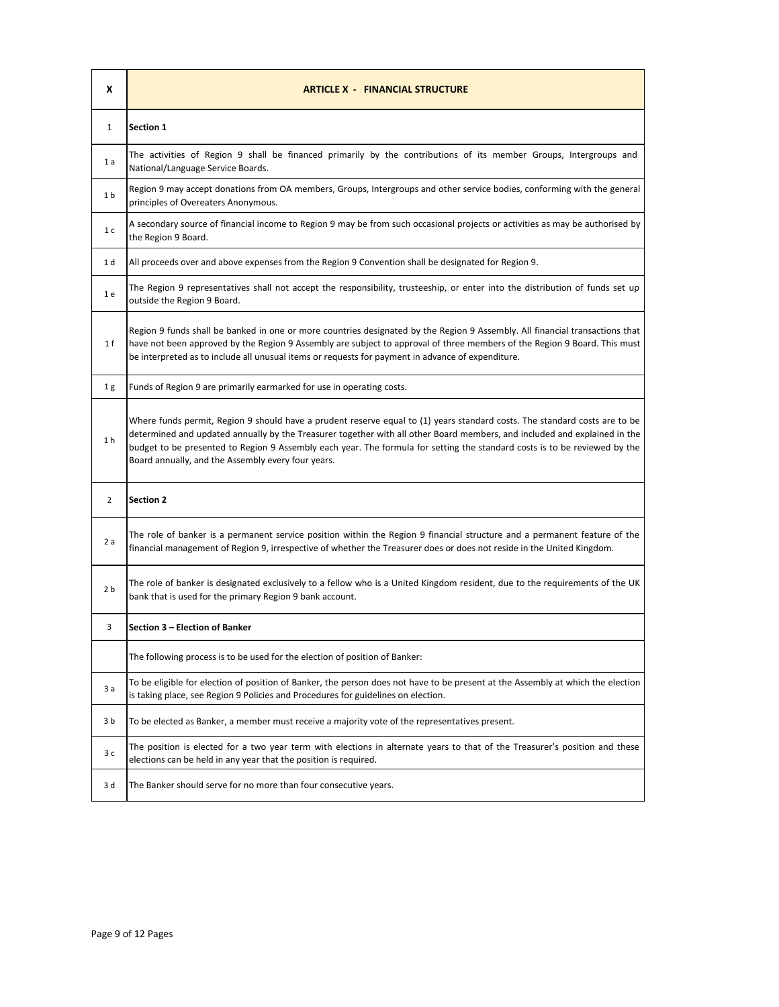| X              | <b>ARTICLE X - FINANCIAL STRUCTURE</b>                                                                                                                                                                                                                                                                                                                                                                                                      |
|----------------|---------------------------------------------------------------------------------------------------------------------------------------------------------------------------------------------------------------------------------------------------------------------------------------------------------------------------------------------------------------------------------------------------------------------------------------------|
| 1              | <b>Section 1</b>                                                                                                                                                                                                                                                                                                                                                                                                                            |
| 1a             | The activities of Region 9 shall be financed primarily by the contributions of its member Groups, Intergroups and<br>National/Language Service Boards.                                                                                                                                                                                                                                                                                      |
| 1 <sub>b</sub> | Region 9 may accept donations from OA members, Groups, Intergroups and other service bodies, conforming with the general<br>principles of Overeaters Anonymous.                                                                                                                                                                                                                                                                             |
| 1 <sub>c</sub> | A secondary source of financial income to Region 9 may be from such occasional projects or activities as may be authorised by<br>the Region 9 Board.                                                                                                                                                                                                                                                                                        |
| 1 d            | All proceeds over and above expenses from the Region 9 Convention shall be designated for Region 9.                                                                                                                                                                                                                                                                                                                                         |
| 1 e            | The Region 9 representatives shall not accept the responsibility, trusteeship, or enter into the distribution of funds set up<br>outside the Region 9 Board.                                                                                                                                                                                                                                                                                |
| 1 f            | Region 9 funds shall be banked in one or more countries designated by the Region 9 Assembly. All financial transactions that<br>have not been approved by the Region 9 Assembly are subject to approval of three members of the Region 9 Board. This must<br>be interpreted as to include all unusual items or requests for payment in advance of expenditure.                                                                              |
| 1 <sub>g</sub> | Funds of Region 9 are primarily earmarked for use in operating costs.                                                                                                                                                                                                                                                                                                                                                                       |
| 1 <sub>h</sub> | Where funds permit, Region 9 should have a prudent reserve equal to (1) years standard costs. The standard costs are to be<br>determined and updated annually by the Treasurer together with all other Board members, and included and explained in the<br>budget to be presented to Region 9 Assembly each year. The formula for setting the standard costs is to be reviewed by the<br>Board annually, and the Assembly every four years. |
| 2              | <b>Section 2</b>                                                                                                                                                                                                                                                                                                                                                                                                                            |
| 2a             | The role of banker is a permanent service position within the Region 9 financial structure and a permanent feature of the<br>financial management of Region 9, irrespective of whether the Treasurer does or does not reside in the United Kingdom.                                                                                                                                                                                         |
| 2 <sub>b</sub> | The role of banker is designated exclusively to a fellow who is a United Kingdom resident, due to the requirements of the UK<br>bank that is used for the primary Region 9 bank account.                                                                                                                                                                                                                                                    |
| 3              | Section 3 - Election of Banker                                                                                                                                                                                                                                                                                                                                                                                                              |
|                | The following process is to be used for the election of position of Banker:                                                                                                                                                                                                                                                                                                                                                                 |
| 3a             | To be eligible for election of position of Banker, the person does not have to be present at the Assembly at which the election<br>is taking place, see Region 9 Policies and Procedures for guidelines on election.                                                                                                                                                                                                                        |
| 3b             | To be elected as Banker, a member must receive a majority vote of the representatives present.                                                                                                                                                                                                                                                                                                                                              |
| 3 c            | The position is elected for a two year term with elections in alternate years to that of the Treasurer's position and these<br>elections can be held in any year that the position is required.                                                                                                                                                                                                                                             |
| 3 d            | The Banker should serve for no more than four consecutive years.                                                                                                                                                                                                                                                                                                                                                                            |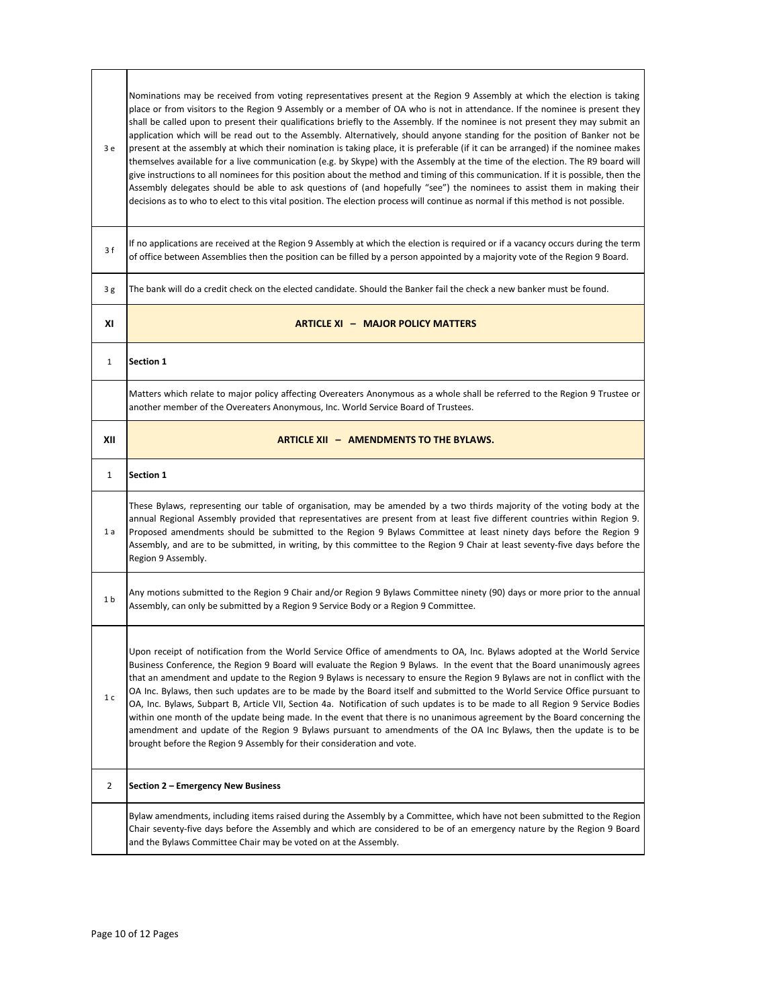| 3 e            | Nominations may be received from voting representatives present at the Region 9 Assembly at which the election is taking<br>place or from visitors to the Region 9 Assembly or a member of OA who is not in attendance. If the nominee is present they<br>shall be called upon to present their qualifications briefly to the Assembly. If the nominee is not present they may submit an<br>application which will be read out to the Assembly. Alternatively, should anyone standing for the position of Banker not be<br>present at the assembly at which their nomination is taking place, it is preferable (if it can be arranged) if the nominee makes<br>themselves available for a live communication (e.g. by Skype) with the Assembly at the time of the election. The R9 board will<br>give instructions to all nominees for this position about the method and timing of this communication. If it is possible, then the<br>Assembly delegates should be able to ask questions of (and hopefully "see") the nominees to assist them in making their<br>decisions as to who to elect to this vital position. The election process will continue as normal if this method is not possible. |
|----------------|-----------------------------------------------------------------------------------------------------------------------------------------------------------------------------------------------------------------------------------------------------------------------------------------------------------------------------------------------------------------------------------------------------------------------------------------------------------------------------------------------------------------------------------------------------------------------------------------------------------------------------------------------------------------------------------------------------------------------------------------------------------------------------------------------------------------------------------------------------------------------------------------------------------------------------------------------------------------------------------------------------------------------------------------------------------------------------------------------------------------------------------------------------------------------------------------------------|
| 3 f            | If no applications are received at the Region 9 Assembly at which the election is required or if a vacancy occurs during the term<br>of office between Assemblies then the position can be filled by a person appointed by a majority vote of the Region 9 Board.                                                                                                                                                                                                                                                                                                                                                                                                                                                                                                                                                                                                                                                                                                                                                                                                                                                                                                                                   |
| 3g             | The bank will do a credit check on the elected candidate. Should the Banker fail the check a new banker must be found.                                                                                                                                                                                                                                                                                                                                                                                                                                                                                                                                                                                                                                                                                                                                                                                                                                                                                                                                                                                                                                                                              |
| ΧI             | <b>ARTICLE XI - MAJOR POLICY MATTERS</b>                                                                                                                                                                                                                                                                                                                                                                                                                                                                                                                                                                                                                                                                                                                                                                                                                                                                                                                                                                                                                                                                                                                                                            |
| $\mathbf{1}$   | Section 1                                                                                                                                                                                                                                                                                                                                                                                                                                                                                                                                                                                                                                                                                                                                                                                                                                                                                                                                                                                                                                                                                                                                                                                           |
|                | Matters which relate to major policy affecting Overeaters Anonymous as a whole shall be referred to the Region 9 Trustee or<br>another member of the Overeaters Anonymous, Inc. World Service Board of Trustees.                                                                                                                                                                                                                                                                                                                                                                                                                                                                                                                                                                                                                                                                                                                                                                                                                                                                                                                                                                                    |
| XII            | <b>ARTICLE XII - AMENDMENTS TO THE BYLAWS.</b>                                                                                                                                                                                                                                                                                                                                                                                                                                                                                                                                                                                                                                                                                                                                                                                                                                                                                                                                                                                                                                                                                                                                                      |
| 1              | <b>Section 1</b>                                                                                                                                                                                                                                                                                                                                                                                                                                                                                                                                                                                                                                                                                                                                                                                                                                                                                                                                                                                                                                                                                                                                                                                    |
| 1 a            | These Bylaws, representing our table of organisation, may be amended by a two thirds majority of the voting body at the<br>annual Regional Assembly provided that representatives are present from at least five different countries within Region 9.<br>Proposed amendments should be submitted to the Region 9 Bylaws Committee at least ninety days before the Region 9<br>Assembly, and are to be submitted, in writing, by this committee to the Region 9 Chair at least seventy-five days before the<br>Region 9 Assembly.                                                                                                                                                                                                                                                                                                                                                                                                                                                                                                                                                                                                                                                                    |
| 1 <sub>b</sub> | Any motions submitted to the Region 9 Chair and/or Region 9 Bylaws Committee ninety (90) days or more prior to the annual<br>Assembly, can only be submitted by a Region 9 Service Body or a Region 9 Committee.                                                                                                                                                                                                                                                                                                                                                                                                                                                                                                                                                                                                                                                                                                                                                                                                                                                                                                                                                                                    |
| 1 <sub>c</sub> | Upon receipt of notification from the World Service Office of amendments to OA, Inc. Bylaws adopted at the World Service<br>Business Conference, the Region 9 Board will evaluate the Region 9 Bylaws. In the event that the Board unanimously agrees<br>that an amendment and update to the Region 9 Bylaws is necessary to ensure the Region 9 Bylaws are not in conflict with the<br>OA Inc. Bylaws, then such updates are to be made by the Board itself and submitted to the World Service Office pursuant to<br>OA, Inc. Bylaws, Subpart B, Article VII, Section 4a. Notification of such updates is to be made to all Region 9 Service Bodies<br>within one month of the update being made. In the event that there is no unanimous agreement by the Board concerning the<br>amendment and update of the Region 9 Bylaws pursuant to amendments of the OA Inc Bylaws, then the update is to be<br>brought before the Region 9 Assembly for their consideration and vote.                                                                                                                                                                                                                     |
| 2              | Section 2 - Emergency New Business                                                                                                                                                                                                                                                                                                                                                                                                                                                                                                                                                                                                                                                                                                                                                                                                                                                                                                                                                                                                                                                                                                                                                                  |
|                | Bylaw amendments, including items raised during the Assembly by a Committee, which have not been submitted to the Region<br>Chair seventy-five days before the Assembly and which are considered to be of an emergency nature by the Region 9 Board<br>and the Bylaws Committee Chair may be voted on at the Assembly.                                                                                                                                                                                                                                                                                                                                                                                                                                                                                                                                                                                                                                                                                                                                                                                                                                                                              |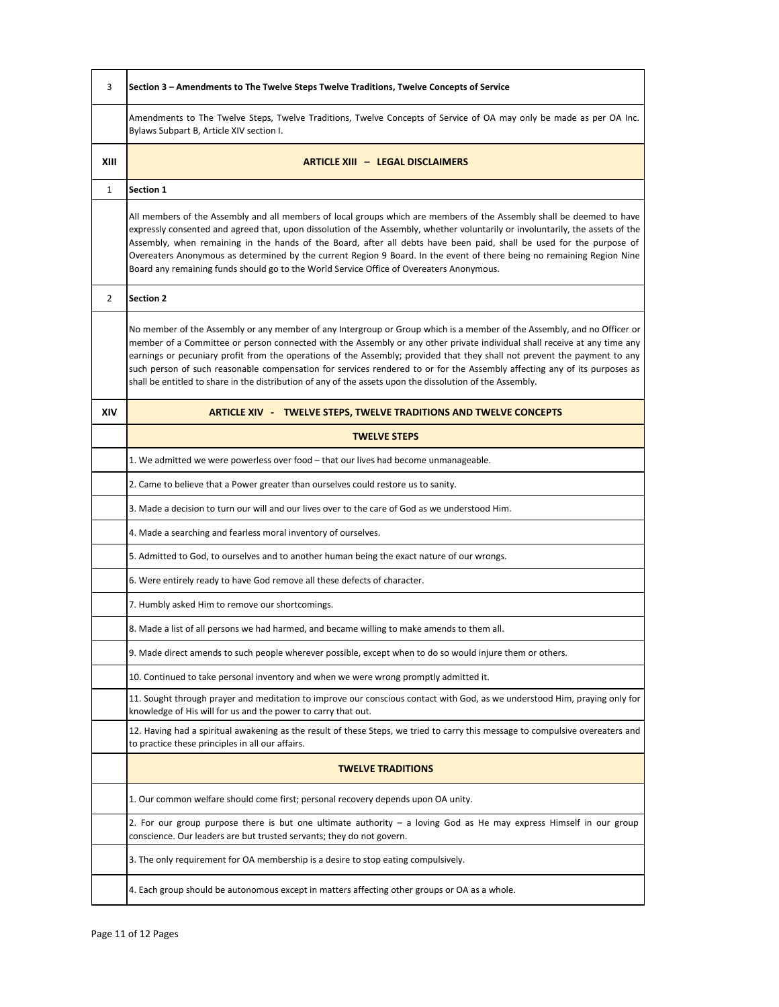| 3    | Section 3 - Amendments to The Twelve Steps Twelve Traditions, Twelve Concepts of Service                                                                                                                                                                                                                                                                                                                                                                                                                                                                                                                                    |
|------|-----------------------------------------------------------------------------------------------------------------------------------------------------------------------------------------------------------------------------------------------------------------------------------------------------------------------------------------------------------------------------------------------------------------------------------------------------------------------------------------------------------------------------------------------------------------------------------------------------------------------------|
|      | Amendments to The Twelve Steps, Twelve Traditions, Twelve Concepts of Service of OA may only be made as per OA Inc.<br>Bylaws Subpart B, Article XIV section I.                                                                                                                                                                                                                                                                                                                                                                                                                                                             |
| XIII | <b>ARTICLE XIII - LEGAL DISCLAIMERS</b>                                                                                                                                                                                                                                                                                                                                                                                                                                                                                                                                                                                     |
| 1    | <b>Section 1</b>                                                                                                                                                                                                                                                                                                                                                                                                                                                                                                                                                                                                            |
|      | All members of the Assembly and all members of local groups which are members of the Assembly shall be deemed to have<br>expressly consented and agreed that, upon dissolution of the Assembly, whether voluntarily or involuntarily, the assets of the<br>Assembly, when remaining in the hands of the Board, after all debts have been paid, shall be used for the purpose of<br>Overeaters Anonymous as determined by the current Region 9 Board. In the event of there being no remaining Region Nine<br>Board any remaining funds should go to the World Service Office of Overeaters Anonymous.                       |
| 2    | <b>Section 2</b>                                                                                                                                                                                                                                                                                                                                                                                                                                                                                                                                                                                                            |
|      | No member of the Assembly or any member of any Intergroup or Group which is a member of the Assembly, and no Officer or<br>member of a Committee or person connected with the Assembly or any other private individual shall receive at any time any<br>earnings or pecuniary profit from the operations of the Assembly; provided that they shall not prevent the payment to any<br>such person of such reasonable compensation for services rendered to or for the Assembly affecting any of its purposes as<br>shall be entitled to share in the distribution of any of the assets upon the dissolution of the Assembly. |
| XIV  | <b>ARTICLE XIV - TWELVE STEPS, TWELVE TRADITIONS AND TWELVE CONCEPTS</b>                                                                                                                                                                                                                                                                                                                                                                                                                                                                                                                                                    |
|      | <b>TWELVE STEPS</b>                                                                                                                                                                                                                                                                                                                                                                                                                                                                                                                                                                                                         |
|      | 1. We admitted we were powerless over food – that our lives had become unmanageable.                                                                                                                                                                                                                                                                                                                                                                                                                                                                                                                                        |
|      | 2. Came to believe that a Power greater than ourselves could restore us to sanity.                                                                                                                                                                                                                                                                                                                                                                                                                                                                                                                                          |
|      | 3. Made a decision to turn our will and our lives over to the care of God as we understood Him.                                                                                                                                                                                                                                                                                                                                                                                                                                                                                                                             |
|      | 4. Made a searching and fearless moral inventory of ourselves.                                                                                                                                                                                                                                                                                                                                                                                                                                                                                                                                                              |
|      | 5. Admitted to God, to ourselves and to another human being the exact nature of our wrongs.                                                                                                                                                                                                                                                                                                                                                                                                                                                                                                                                 |
|      | 6. Were entirely ready to have God remove all these defects of character.                                                                                                                                                                                                                                                                                                                                                                                                                                                                                                                                                   |
|      | 7. Humbly asked Him to remove our shortcomings.                                                                                                                                                                                                                                                                                                                                                                                                                                                                                                                                                                             |
|      | 8. Made a list of all persons we had harmed, and became willing to make amends to them all.                                                                                                                                                                                                                                                                                                                                                                                                                                                                                                                                 |
|      | 9. Made direct amends to such people wherever possible, except when to do so would injure them or others.                                                                                                                                                                                                                                                                                                                                                                                                                                                                                                                   |
|      | 10. Continued to take personal inventory and when we were wrong promptly admitted it.                                                                                                                                                                                                                                                                                                                                                                                                                                                                                                                                       |
|      | 11. Sought through prayer and meditation to improve our conscious contact with God, as we understood Him, praying only for<br>knowledge of His will for us and the power to carry that out.                                                                                                                                                                                                                                                                                                                                                                                                                                 |
|      | 12. Having had a spiritual awakening as the result of these Steps, we tried to carry this message to compulsive overeaters and<br>to practice these principles in all our affairs.                                                                                                                                                                                                                                                                                                                                                                                                                                          |
|      | <b>TWELVE TRADITIONS</b>                                                                                                                                                                                                                                                                                                                                                                                                                                                                                                                                                                                                    |
|      | 1. Our common welfare should come first; personal recovery depends upon OA unity.                                                                                                                                                                                                                                                                                                                                                                                                                                                                                                                                           |
|      | 2. For our group purpose there is but one ultimate authority $-$ a loving God as He may express Himself in our group<br>conscience. Our leaders are but trusted servants; they do not govern.                                                                                                                                                                                                                                                                                                                                                                                                                               |
|      | 3. The only requirement for OA membership is a desire to stop eating compulsively.                                                                                                                                                                                                                                                                                                                                                                                                                                                                                                                                          |
|      | 4. Each group should be autonomous except in matters affecting other groups or OA as a whole.                                                                                                                                                                                                                                                                                                                                                                                                                                                                                                                               |